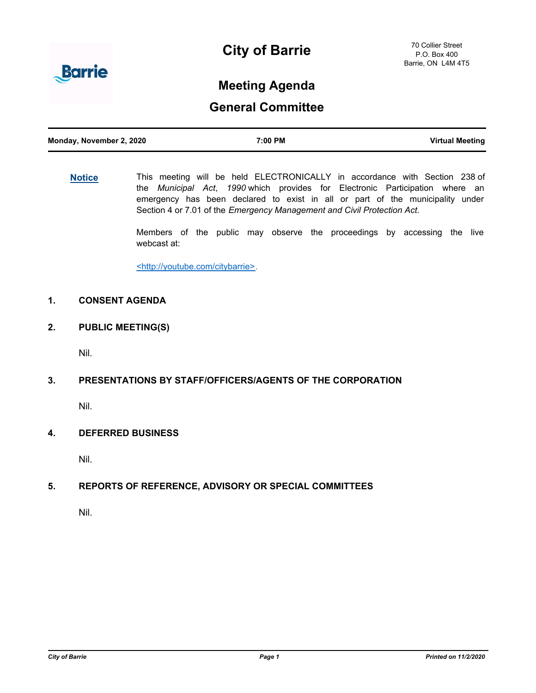

# **City of Barrie**

## **Meeting Agenda**

## **General Committee**

| Monday, November 2, 2020 | 7:00 PM | <b>Virtual Meeting</b> |
|--------------------------|---------|------------------------|
|                          |         |                        |

**[Notice](http://barrie.ca.legistar.com/gateway.aspx?m=l&id=/matter.aspx?key=46586)** This meeting will be held ELECTRONICALLY in accordance with Section 238 of the *Municipal Act*, *1990* which provides for Electronic Participation where an emergency has been declared to exist in all or part of the municipality under Section 4 or 7.01 of the *Emergency Management and Civil Protection Act.*

> Members of the public may observe the proceedings by accessing the live webcast at:

<http://youtube.com/citybarrie>.

## **1. CONSENT AGENDA**

**2. PUBLIC MEETING(S)**

Nil.

### **3. PRESENTATIONS BY STAFF/OFFICERS/AGENTS OF THE CORPORATION**

Nil.

## **4. DEFERRED BUSINESS**

Nil.

## **5. REPORTS OF REFERENCE, ADVISORY OR SPECIAL COMMITTEES**

Nil.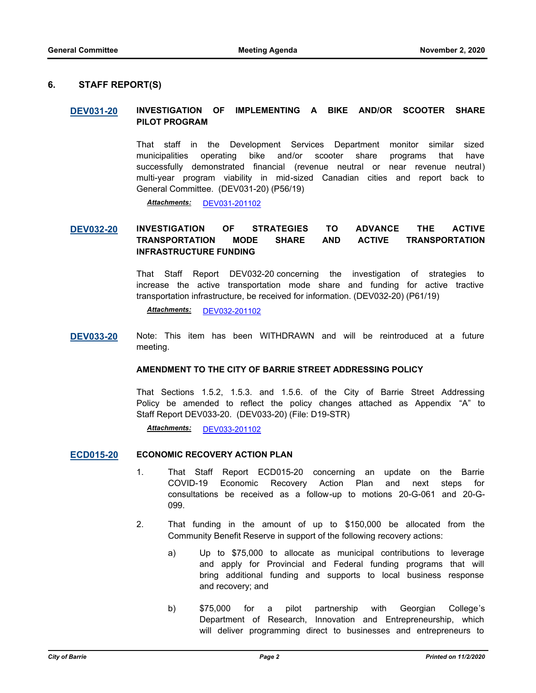#### **6. STAFF REPORT(S)**

#### **[DEV031-20](http://barrie.ca.legistar.com/gateway.aspx?m=l&id=/matter.aspx?key=47846) INVESTIGATION OF IMPLEMENTING A BIKE AND/OR SCOOTER SHARE PILOT PROGRAM**

That staff in the Development Services Department monitor similar sized municipalities operating bike and/or scooter share programs that have successfully demonstrated financial (revenue neutral or near revenue neutral) multi-year program viability in mid-sized Canadian cities and report back to General Committee. (DEV031-20) (P56/19)

*Attachments:* [DEV031-201102](http://barrie.ca.legistar.com/gateway.aspx?M=F&ID=7cfdf610-180d-4999-a9e9-9e5251da54c4.pdf)

## **[DEV032-20](http://barrie.ca.legistar.com/gateway.aspx?m=l&id=/matter.aspx?key=47847) INVESTIGATION OF STRATEGIES TO ADVANCE THE ACTIVE TRANSPORTATION MODE SHARE AND ACTIVE TRANSPORTATION INFRASTRUCTURE FUNDING**

That Staff Report DEV032-20 concerning the investigation of strategies to increase the active transportation mode share and funding for active tractive transportation infrastructure, be received for information. (DEV032-20) (P61/19)

*Attachments:* [DEV032-201102](http://barrie.ca.legistar.com/gateway.aspx?M=F&ID=51f9be92-fdba-40ed-9db2-e1121aedf553.pdf)

**[DEV033-20](http://barrie.ca.legistar.com/gateway.aspx?m=l&id=/matter.aspx?key=47909)** Note: This item has been WITHDRAWN and will be reintroduced at a future meeting.

#### **AMENDMENT TO THE CITY OF BARRIE STREET ADDRESSING POLICY**

That Sections 1.5.2, 1.5.3. and 1.5.6. of the City of Barrie Street Addressing Policy be amended to reflect the policy changes attached as Appendix "A" to Staff Report DEV033-20. (DEV033-20) (File: D19-STR)

*Attachments:* [DEV033-201102](http://barrie.ca.legistar.com/gateway.aspx?M=F&ID=caa05b72-e44e-4c82-9870-b6e93a887cd2.pdf)

#### **[ECD015-20](http://barrie.ca.legistar.com/gateway.aspx?m=l&id=/matter.aspx?key=47861) ECONOMIC RECOVERY ACTION PLAN**

- 1. That Staff Report ECD015-20 concerning an update on the Barrie COVID-19 Economic Recovery Action Plan and next steps for consultations be received as a follow-up to motions 20-G-061 and 20-G-099.
- 2. That funding in the amount of up to \$150,000 be allocated from the Community Benefit Reserve in support of the following recovery actions:
	- a) Up to \$75,000 to allocate as municipal contributions to leverage and apply for Provincial and Federal funding programs that will bring additional funding and supports to local business response and recovery; and
	- b) \$75,000 for a pilot partnership with Georgian College's Department of Research, Innovation and Entrepreneurship, which will deliver programming direct to businesses and entrepreneurs to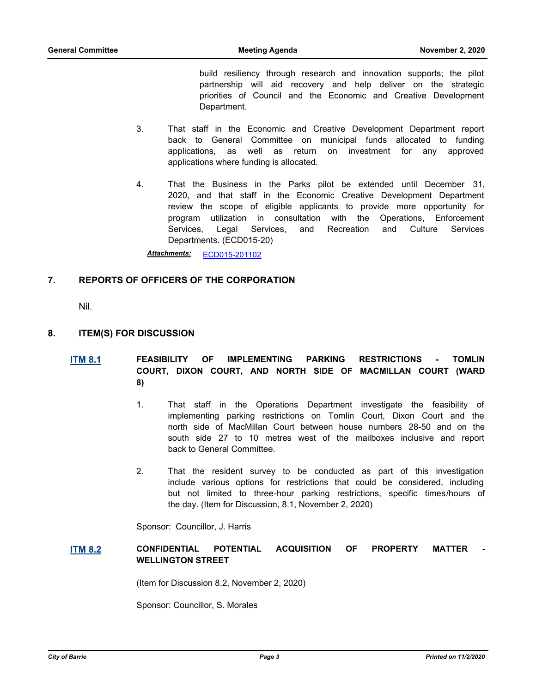build resiliency through research and innovation supports; the pilot partnership will aid recovery and help deliver on the strategic priorities of Council and the Economic and Creative Development Department.

- 3. That staff in the Economic and Creative Development Department report back to General Committee on municipal funds allocated to funding applications, as well as return on investment for any approved applications where funding is allocated.
- 4. That the Business in the Parks pilot be extended until December 31, 2020, and that staff in the Economic Creative Development Department review the scope of eligible applicants to provide more opportunity for program utilization in consultation with the Operations, Enforcement Services, Legal Services, and Recreation and Culture Services Departments. (ECD015-20)

*Attachments:* [ECD015-201102](http://barrie.ca.legistar.com/gateway.aspx?M=F&ID=62c0a358-10e6-4852-81ed-e67b46d1be73.pdf)

#### **7. REPORTS OF OFFICERS OF THE CORPORATION**

Nil.

#### **8. ITEM(S) FOR DISCUSSION**

## **[ITM 8.1](http://barrie.ca.legistar.com/gateway.aspx?m=l&id=/matter.aspx?key=47928) FEASIBILITY OF IMPLEMENTING PARKING RESTRICTIONS - TOMLIN COURT, DIXON COURT, AND NORTH SIDE OF MACMILLAN COURT (WARD 8)**

- 1. That staff in the Operations Department investigate the feasibility of implementing parking restrictions on Tomlin Court, Dixon Court and the north side of MacMillan Court between house numbers 28-50 and on the south side 27 to 10 metres west of the mailboxes inclusive and report back to General Committee.
- 2. That the resident survey to be conducted as part of this investigation include various options for restrictions that could be considered, including but not limited to three-hour parking restrictions, specific times/hours of the day. (Item for Discussion, 8.1, November 2, 2020)

Sponsor: Councillor, J. Harris

#### **[ITM 8.2](http://barrie.ca.legistar.com/gateway.aspx?m=l&id=/matter.aspx?key=47927) CONFIDENTIAL POTENTIAL ACQUISITION OF PROPERTY MATTER WELLINGTON STREET**

(Item for Discussion 8.2, November 2, 2020)

Sponsor: Councillor, S. Morales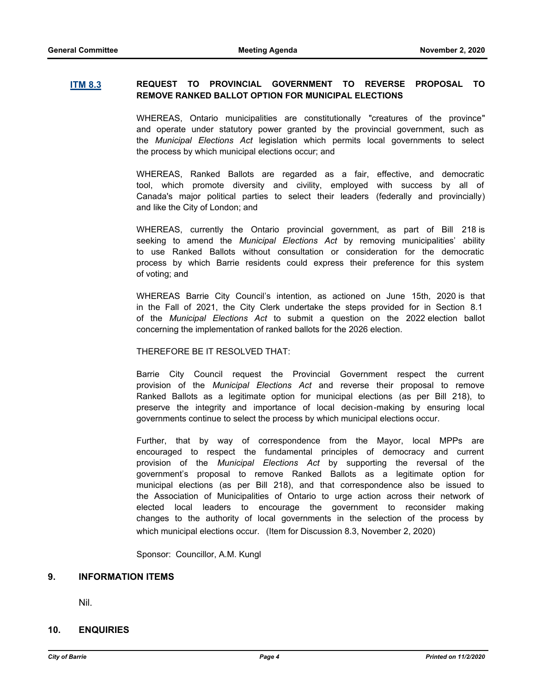#### **[ITM 8.3](http://barrie.ca.legistar.com/gateway.aspx?m=l&id=/matter.aspx?key=47931) REQUEST TO PROVINCIAL GOVERNMENT TO REVERSE PROPOSAL TO REMOVE RANKED BALLOT OPTION FOR MUNICIPAL ELECTIONS**

WHEREAS, Ontario municipalities are constitutionally "creatures of the province" and operate under statutory power granted by the provincial government, such as the *Municipal Elections Act* legislation which permits local governments to select the process by which municipal elections occur; and

WHEREAS, Ranked Ballots are regarded as a fair, effective, and democratic tool, which promote diversity and civility, employed with success by all of Canada's major political parties to select their leaders (federally and provincially) and like the City of London; and

WHEREAS, currently the Ontario provincial government, as part of Bill 218 is seeking to amend the *Municipal Elections Act* by removing municipalities' ability to use Ranked Ballots without consultation or consideration for the democratic process by which Barrie residents could express their preference for this system of voting; and

WHEREAS Barrie City Council's intention, as actioned on June 15th, 2020 is that in the Fall of 2021, the City Clerk undertake the steps provided for in Section 8.1 of the *Municipal Elections Act* to submit a question on the 2022 election ballot concerning the implementation of ranked ballots for the 2026 election.

#### THEREFORE BE IT RESOLVED THAT:

Barrie City Council request the Provincial Government respect the current provision of the *Municipal Elections Act* and reverse their proposal to remove Ranked Ballots as a legitimate option for municipal elections (as per Bill 218), to preserve the integrity and importance of local decision-making by ensuring local governments continue to select the process by which municipal elections occur.

Further, that by way of correspondence from the Mayor, local MPPs are encouraged to respect the fundamental principles of democracy and current provision of the *Municipal Elections Act* by supporting the reversal of the government's proposal to remove Ranked Ballots as a legitimate option for municipal elections (as per Bill 218), and that correspondence also be issued to the Association of Municipalities of Ontario to urge action across their network of elected local leaders to encourage the government to reconsider making changes to the authority of local governments in the selection of the process by which municipal elections occur. (Item for Discussion 8.3, November 2, 2020)

Sponsor: Councillor, A.M. Kungl

#### **9. INFORMATION ITEMS**

Nil.

### **10. ENQUIRIES**